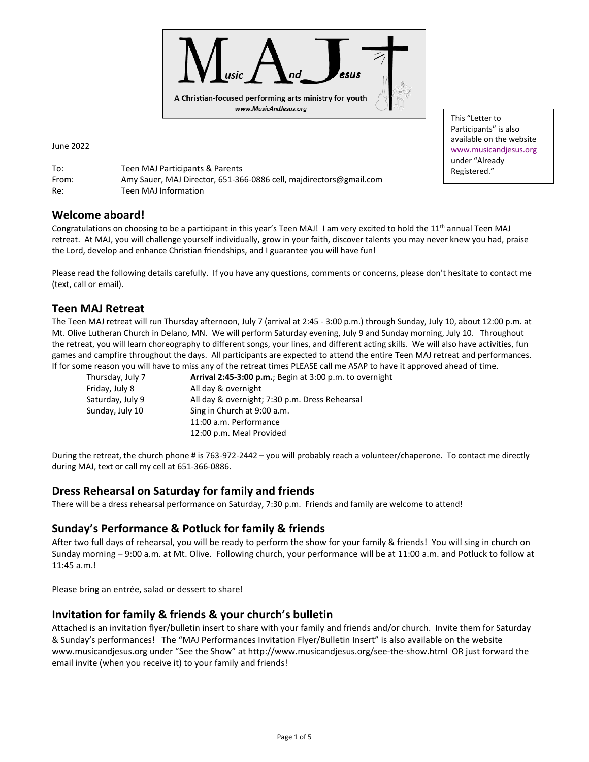

June 2022

To: Teen MAJ Participants & Parents From: Amy Sauer, MAJ Director, 651-366-0886 cell, majdirectors@gmail.com Re: Teen MAJ Information

## **Welcome aboard!**

Congratulations on choosing to be a participant in this year's Teen MAJ! I am very excited to hold the 11<sup>th</sup> annual Teen MAJ retreat. At MAJ, you will challenge yourself individually, grow in your faith, discover talents you may never knew you had, praise the Lord, develop and enhance Christian friendships, and I guarantee you will have fun!

Please read the following details carefully. If you have any questions, comments or concerns, please don't hesitate to contact me (text, call or email).

### **Teen MAJ Retreat**

The Teen MAJ retreat will run Thursday afternoon, July 7 (arrival at 2:45 - 3:00 p.m.) through Sunday, July 10, about 12:00 p.m. at Mt. Olive Lutheran Church in Delano, MN. We will perform Saturday evening, July 9 and Sunday morning, July 10. Throughout the retreat, you will learn choreography to different songs, your lines, and different acting skills. We will also have activities, fun games and campfire throughout the days. All participants are expected to attend the entire Teen MAJ retreat and performances. If for some reason you will have to miss any of the retreat times PLEASE call me ASAP to have it approved ahead of time.

| Thursday, July 7 | Arrival 2:45-3:00 p.m.; Begin at 3:00 p.m. to overnight |  |  |
|------------------|---------------------------------------------------------|--|--|
| Friday, July 8   | All day & overnight                                     |  |  |
| Saturday, July 9 | All day & overnight; 7:30 p.m. Dress Rehearsal          |  |  |
| Sunday, July 10  | Sing in Church at 9:00 a.m.                             |  |  |
|                  | 11:00 a.m. Performance                                  |  |  |
|                  | 12:00 p.m. Meal Provided                                |  |  |

During the retreat, the church phone # is 763-972-2442 – you will probably reach a volunteer/chaperone. To contact me directly during MAJ, text or call my cell at 651-366-0886.

### **Dress Rehearsal on Saturday for family and friends**

There will be a dress rehearsal performance on Saturday, 7:30 p.m. Friends and family are welcome to attend!

### **Sunday's Performance & Potluck for family & friends**

After two full days of rehearsal, you will be ready to perform the show for your family & friends! You will sing in church on Sunday morning – 9:00 a.m. at Mt. Olive. Following church, your performance will be at 11:00 a.m. and Potluck to follow at 11:45 a.m.!

Please bring an entrée, salad or dessert to share!

### **Invitation for family & friends & your church's bulletin**

Attached is an invitation flyer/bulletin insert to share with your family and friends and/or church. Invite them for Saturday & Sunday's performances! The "MAJ Performances Invitation Flyer/Bulletin Insert" is also available on the website [www.musicandjesus.org](http://www.musicandjesus.org/) under "See the Show" at http://www.musicandjesus.org/see-the-show.html OR just forward the email invite (when you receive it) to your family and friends!

This "Letter to Participants" is also available on the website [www.musicandjesus.org](http://www.musicandjesus.org/) under "Already Registered."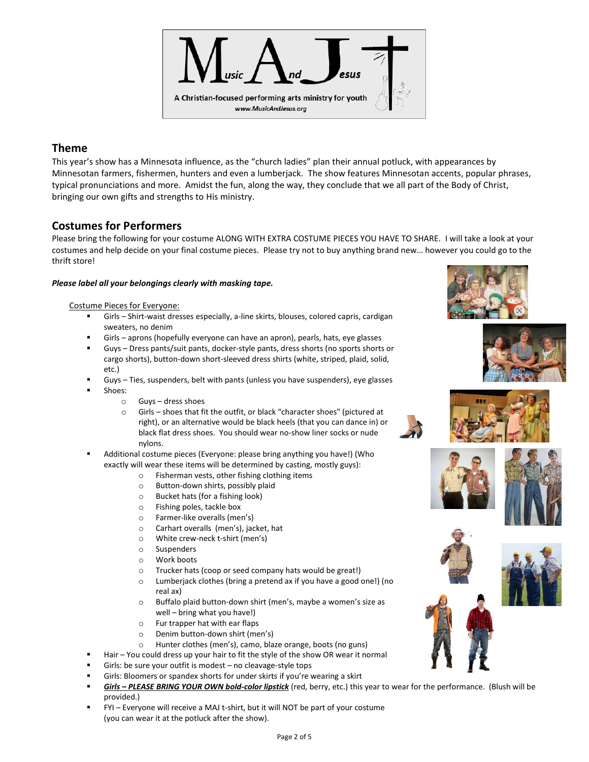

## **Theme**

This year's show has a Minnesota influence, as the "church ladies" plan their annual potluck, with appearances by Minnesotan farmers, fishermen, hunters and even a lumberjack. The show features Minnesotan accents, popular phrases, typical pronunciations and more. Amidst the fun, along the way, they conclude that we all part of the Body of Christ, bringing our own gifts and strengths to His ministry.

## **Costumes for Performers**

Please bring the following for your costume ALONG WITH EXTRA COSTUME PIECES YOU HAVE TO SHARE. I will take a look at your costumes and help decide on your final costume pieces. Please try not to buy anything brand new… however you could go to the thrift store!

### *Please label all your belongings clearly with masking tape.*

#### Costume Pieces for Everyone:

- Girls Shirt-waist dresses especially, a-line skirts, blouses, colored capris, cardigan sweaters, no denim
- Girls aprons (hopefully everyone can have an apron), pearls, hats, eye glasses
- Guys Dress pants/suit pants, docker-style pants, dress shorts (no sports shorts or cargo shorts), button-down short-sleeved dress shirts (white, striped, plaid, solid, etc.)
- Guys Ties, suspenders, belt with pants (unless you have suspenders), eye glasses
- Shoes:
	- o Guys dress shoes
	- o Girls shoes that fit the outfit, or black "character shoes" (pictured at right), or an alternative would be black heels (that you can dance in) or black flat dress shoes. You should wear no-show liner socks or nude nylons.
- Additional costume pieces (Everyone: please bring anything you have!) (Who exactly will wear these items will be determined by casting, mostly guys):
	- o Fisherman vests, other fishing clothing items
	- o Button-down shirts, possibly plaid
	- o Bucket hats (for a fishing look)
	- o Fishing poles, tackle box
	- o Farmer-like overalls (men's)
	- o Carhart overalls (men's), jacket, hat
	- o White crew-neck t-shirt (men's)
	- o Suspenders
	- o Work boots
	- o Trucker hats (coop or seed company hats would be great!)
	- o Lumberjack clothes (bring a pretend ax if you have a good one!) (no real ax)
	- o Buffalo plaid button-down shirt (men's, maybe a women's size as well – bring what you have!)
	- o Fur trapper hat with ear flaps
	- o Denim button-down shirt (men's)
	- o Hunter clothes (men's), camo, blaze orange, boots (no guns)
	- Hair You could dress up your hair to fit the style of the show OR wear it normal
- Girls: be sure your outfit is modest  $-$  no cleavage-style tops
- Girls: Bloomers or spandex shorts for under skirts if you're wearing a skirt
- Girls PLEASE BRING YOUR OWN bold-color lipstick (red, berry, etc.) this year to wear for the performance. (Blush will be provided.)
- FYI Everyone will receive a MAJ t-shirt, but it will NOT be part of your costume (you can wear it at the potluck after the show).













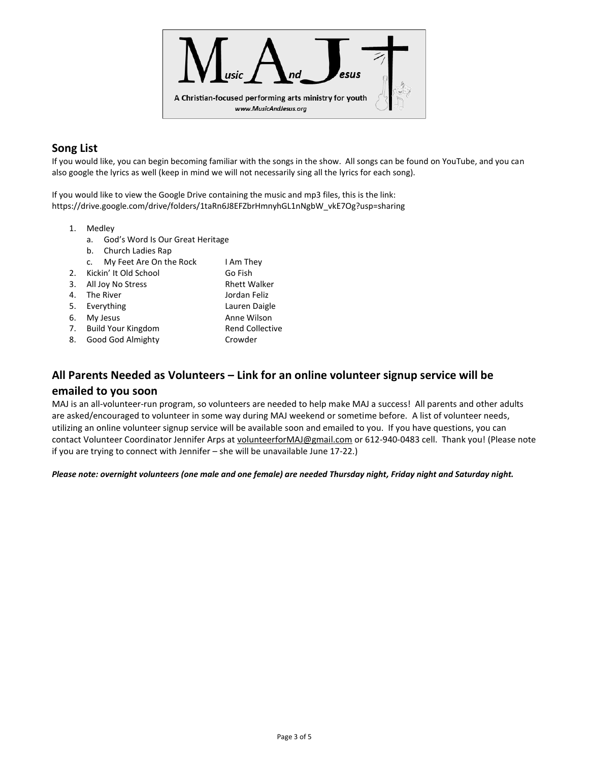

## **Song List**

If you would like, you can begin becoming familiar with the songs in the show. All songs can be found on YouTube, and you can also google the lyrics as well (keep in mind we will not necessarily sing all the lyrics for each song).

If you would like to view the Google Drive containing the music and mp3 files, this is the link: https://drive.google.com/drive/folders/1taRn6J8EFZbrHmnyhGL1nNgbW\_vkE7Og?usp=sharing

- 1. Medley
	- a. God's Word Is Our Great Heritage
	- b. Church Ladies Rap
	- c. My Feet Are On the Rock I Am They
- 2. Kickin' It Old School Go Fish
- 3. All Joy No Stress Rhett Walker
- 4. The River **Jordan Feliz**
- 5. Everything Lauren Daigle
- 
- 6. My Jesus **Anne Wilson**
- 7. Build Your Kingdom Rend Collective
- 8. Good God Almighty Crowder

# **All Parents Needed as Volunteers – Link for an online volunteer signup service will be emailed to you soon**

MAJ is an all-volunteer-run program, so volunteers are needed to help make MAJ a success! All parents and other adults are asked/encouraged to volunteer in some way during MAJ weekend or sometime before. A list of volunteer needs, utilizing an online volunteer signup service will be available soon and emailed to you. If you have questions, you can contact Volunteer Coordinator Jennifer Arps a[t volunteerforMAJ@gmail.com](mailto:volunteerforMAJ@gmail.com) or 612-940-0483 cell. Thank you! (Please note if you are trying to connect with Jennifer – she will be unavailable June 17-22.)

### *Please note: overnight volunteers (one male and one female) are needed Thursday night, Friday night and Saturday night.*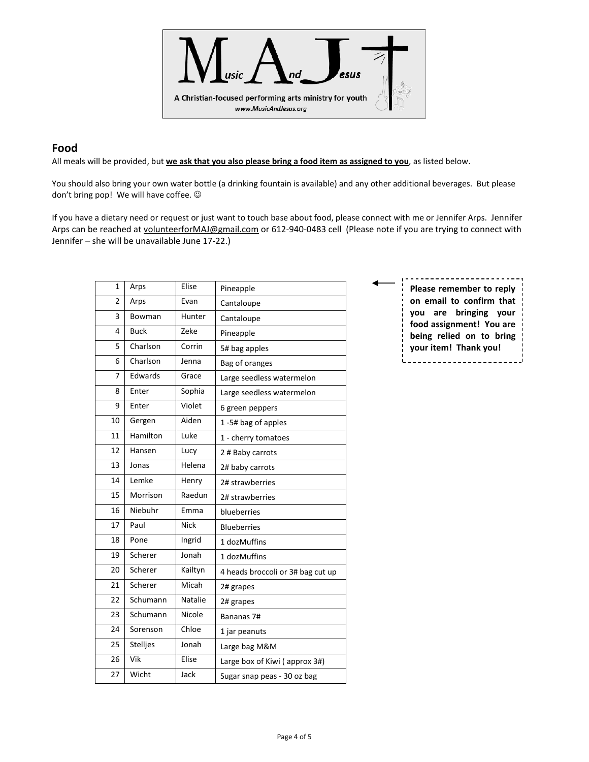

### **Food**

All meals will be provided, but **we ask that you also please bring a food item as assigned to you**, as listed below.

You should also bring your own water bottle (a drinking fountain is available) and any other additional beverages. But please don't bring pop! We will have coffee.  $\odot$ 

If you have a dietary need or request or just want to touch base about food, please connect with me or Jennifer Arps. Jennifer Arps can be reached a[t volunteerforMAJ@gmail.com](mailto:volunteerforMAJ@gmail.com) or 612-940-0483 cell (Please note if you are trying to connect with Jennifer – she will be unavailable June 17-22.)

| $\mathbf{1}$ | Arps        | Elise          | Pineapple                         |
|--------------|-------------|----------------|-----------------------------------|
| 2            | Arps        | Evan           | Cantaloupe                        |
| 3            | Bowman      | Hunter         | Cantaloupe                        |
| 4            | <b>Buck</b> | Zeke           | Pineapple                         |
| 5            | Charlson    | Corrin         | 5# bag apples                     |
| 6            | Charlson    | Jenna          | Bag of oranges                    |
| 7            | Edwards     | Grace          | Large seedless watermelon         |
| 8            | Enter       | Sophia         | Large seedless watermelon         |
| 9            | Enter       | Violet         | 6 green peppers                   |
| 10           | Gergen      | Aiden          | 1-5# bag of apples                |
| 11           | Hamilton    | Luke           | 1 - cherry tomatoes               |
| 12           | Hansen      | Lucy           | 2 # Baby carrots                  |
| 13           | Jonas       | Helena         | 2# baby carrots                   |
| 14           | Lemke       | Henry          | 2# strawberries                   |
| 15           | Morrison    | Raedun         | 2# strawberries                   |
| 16           | Niebuhr     | Emma           | blueberries                       |
| 17           | Paul        | <b>Nick</b>    | <b>Blueberries</b>                |
| 18           | Pone        | Ingrid         | 1 dozMuffins                      |
| 19           | Scherer     | Jonah          | 1 dozMuffins                      |
| 20           | Scherer     | Kailtyn        | 4 heads broccoli or 3# bag cut up |
| 21           | Scherer     | Micah          | 2# grapes                         |
| 22           | Schumann    | <b>Natalie</b> | 2# grapes                         |
| 23           | Schumann    | Nicole         | Bananas 7#                        |
| 24           | Sorenson    | Chloe          | 1 jar peanuts                     |
| 25           | Stelljes    | Jonah          | Large bag M&M                     |
| 26           | Vik         | Elise          | Large box of Kiwi (approx 3#)     |
| 27           | Wicht       | Jack           | Sugar snap peas - 30 oz bag       |

**Please remember to reply on email to confirm that you are bringing your food assignment! You are being relied on to bring your item! Thank you!**i..........................